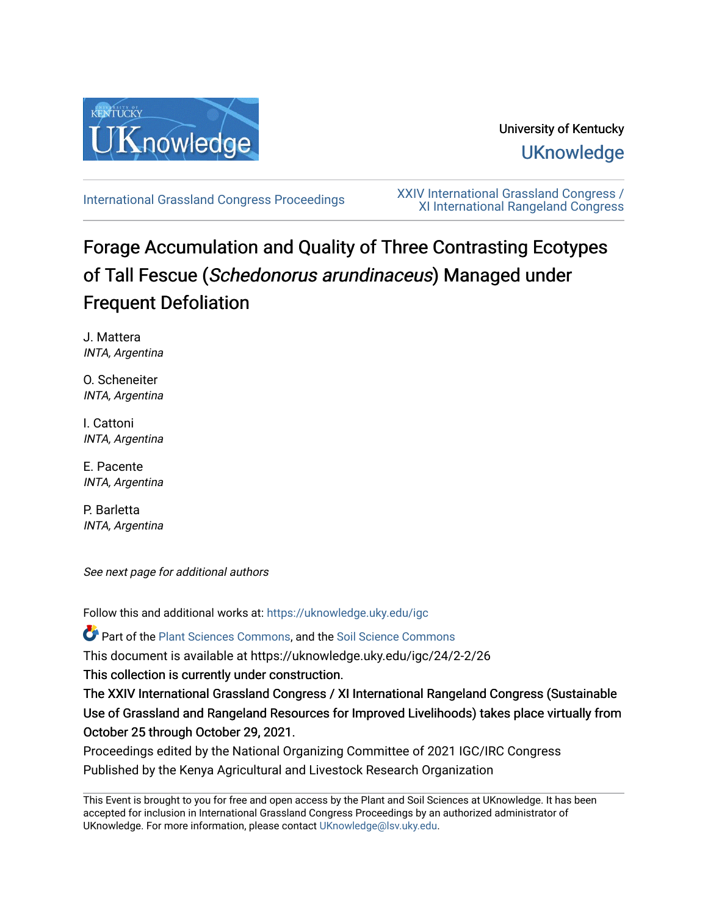

## University of Kentucky **UKnowledge**

[International Grassland Congress Proceedings](https://uknowledge.uky.edu/igc) [XXIV International Grassland Congress /](https://uknowledge.uky.edu/igc/24)  [XI International Rangeland Congress](https://uknowledge.uky.edu/igc/24) 

# Forage Accumulation and Quality of Three Contrasting Ecotypes of Tall Fescue (Schedonorus arundinaceus) Managed under Frequent Defoliation

J. Mattera INTA, Argentina

O. Scheneiter INTA, Argentina

I. Cattoni INTA, Argentina

E. Pacente INTA, Argentina

P. Barletta INTA, Argentina

See next page for additional authors

Follow this and additional works at: [https://uknowledge.uky.edu/igc](https://uknowledge.uky.edu/igc?utm_source=uknowledge.uky.edu%2Figc%2F24%2F2-2%2F26&utm_medium=PDF&utm_campaign=PDFCoverPages) 

Part of the [Plant Sciences Commons](http://network.bepress.com/hgg/discipline/102?utm_source=uknowledge.uky.edu%2Figc%2F24%2F2-2%2F26&utm_medium=PDF&utm_campaign=PDFCoverPages), and the [Soil Science Commons](http://network.bepress.com/hgg/discipline/163?utm_source=uknowledge.uky.edu%2Figc%2F24%2F2-2%2F26&utm_medium=PDF&utm_campaign=PDFCoverPages) 

This document is available at https://uknowledge.uky.edu/igc/24/2-2/26

This collection is currently under construction.

The XXIV International Grassland Congress / XI International Rangeland Congress (Sustainable Use of Grassland and Rangeland Resources for Improved Livelihoods) takes place virtually from October 25 through October 29, 2021.

Proceedings edited by the National Organizing Committee of 2021 IGC/IRC Congress Published by the Kenya Agricultural and Livestock Research Organization

This Event is brought to you for free and open access by the Plant and Soil Sciences at UKnowledge. It has been accepted for inclusion in International Grassland Congress Proceedings by an authorized administrator of UKnowledge. For more information, please contact [UKnowledge@lsv.uky.edu](mailto:UKnowledge@lsv.uky.edu).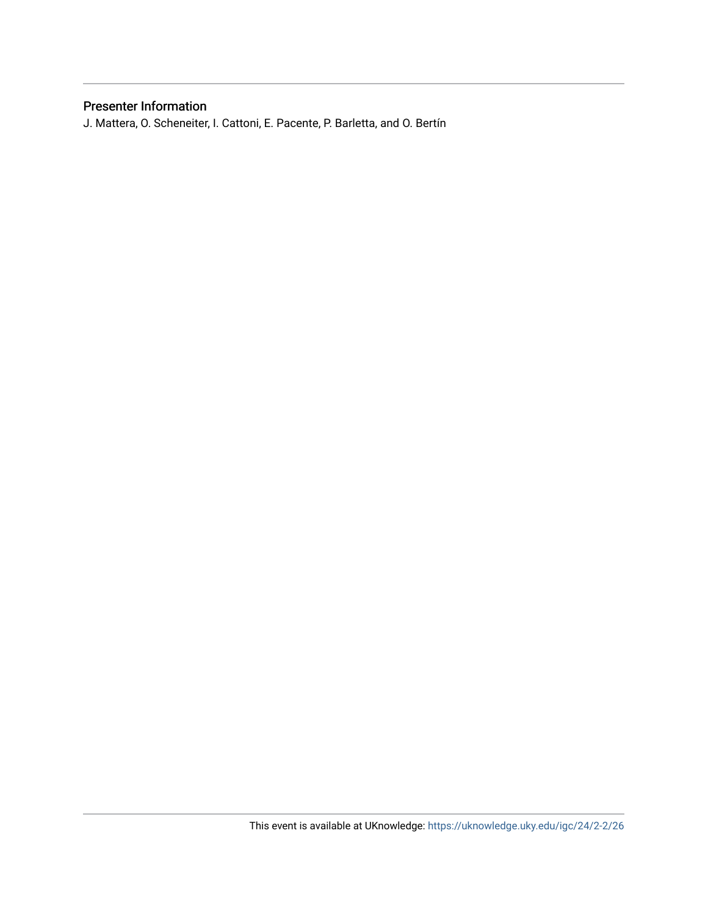### Presenter Information

J. Mattera, O. Scheneiter, I. Cattoni, E. Pacente, P. Barletta, and O. Bertín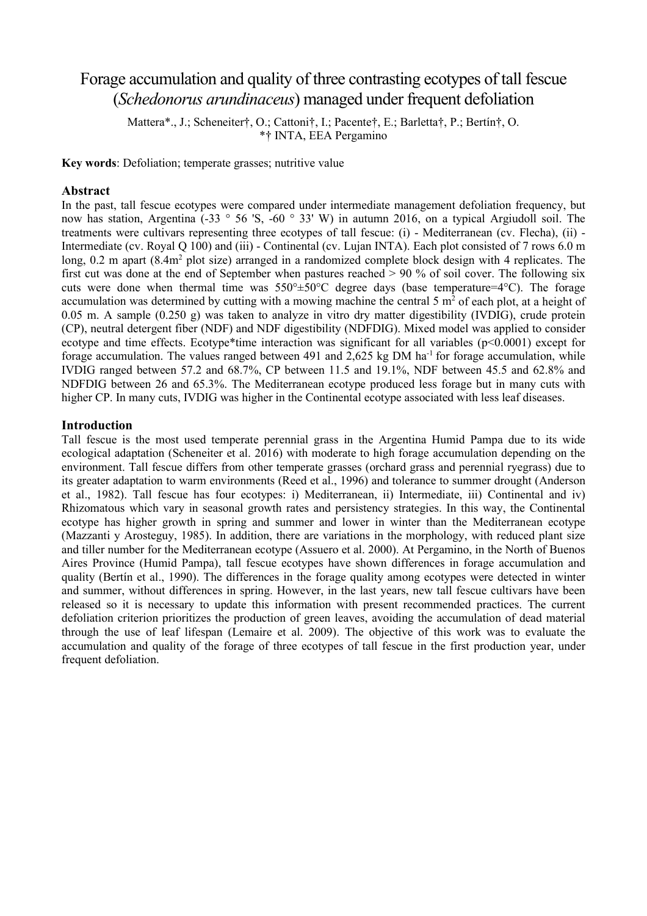## Forage accumulation and quality of three contrasting ecotypes of tall fescue (*Schedonorus arundinaceus*) managed under frequent defoliation

Mattera\*., J.; Scheneiter†, O.; Cattoni†, I.; Pacente†, E.; Barletta†, P.; Bertín†, O. \*† INTA, EEA Pergamino

**Key words**: Defoliation; temperate grasses; nutritive value

#### **Abstract**

In the past, tall fescue ecotypes were compared under intermediate management defoliation frequency, but now has station, Argentina (-33 ° 56 'S, -60 ° 33' W) in autumn 2016, on a typical Argiudoll soil. The treatments were cultivars representing three ecotypes of tall fescue: (i) - Mediterranean (cv. Flecha), (ii) - Intermediate (cv. Royal Q 100) and (iii) - Continental (cv. Lujan INTA). Each plot consisted of 7 rows 6.0 m long, 0.2 m apart (8.4m<sup>2</sup> plot size) arranged in a randomized complete block design with 4 replicates. The first cut was done at the end of September when pastures reached > 90 % of soil cover. The following six cuts were done when thermal time was  $550^{\circ} \pm 50^{\circ}$ C degree days (base temperature=4 $^{\circ}$ C). The forage accumulation was determined by cutting with a mowing machine the central 5  $m<sup>2</sup>$  of each plot, at a height of 0.05 m. A sample (0.250 g) was taken to analyze in vitro dry matter digestibility (IVDIG), crude protein (CP), neutral detergent fiber (NDF) and NDF digestibility (NDFDIG). Mixed model was applied to consider ecotype and time effects. Ecotype\*time interaction was significant for all variables ( $p<0.0001$ ) except for forage accumulation. The values ranged between 491 and 2,625 kg DM ha-1 for forage accumulation, while IVDIG ranged between 57.2 and 68.7%, CP between 11.5 and 19.1%, NDF between 45.5 and 62.8% and NDFDIG between 26 and 65.3%. The Mediterranean ecotype produced less forage but in many cuts with higher CP. In many cuts, IVDIG was higher in the Continental ecotype associated with less leaf diseases.

#### **Introduction**

Tall fescue is the most used temperate perennial grass in the Argentina Humid Pampa due to its wide ecological adaptation (Scheneiter et al. 2016) with moderate to high forage accumulation depending on the environment. Tall fescue differs from other temperate grasses (orchard grass and perennial ryegrass) due to its greater adaptation to warm environments (Reed et al., 1996) and tolerance to summer drought (Anderson et al., 1982). Tall fescue has four ecotypes: i) Mediterranean, ii) Intermediate, iii) Continental and iv) Rhizomatous which vary in seasonal growth rates and persistency strategies. In this way, the Continental ecotype has higher growth in spring and summer and lower in winter than the Mediterranean ecotype (Mazzanti y Arosteguy, 1985). In addition, there are variations in the morphology, with reduced plant size and tiller number for the Mediterranean ecotype (Assuero et al. 2000). At Pergamino, in the North of Buenos Aires Province (Humid Pampa), tall fescue ecotypes have shown differences in forage accumulation and quality (Bertín et al., 1990). The differences in the forage quality among ecotypes were detected in winter and summer, without differences in spring. However, in the last years, new tall fescue cultivars have been released so it is necessary to update this information with present recommended practices. The current defoliation criterion prioritizes the production of green leaves, avoiding the accumulation of dead material through the use of leaf lifespan (Lemaire et al. 2009). The objective of this work was to evaluate the accumulation and quality of the forage of three ecotypes of tall fescue in the first production year, under frequent defoliation.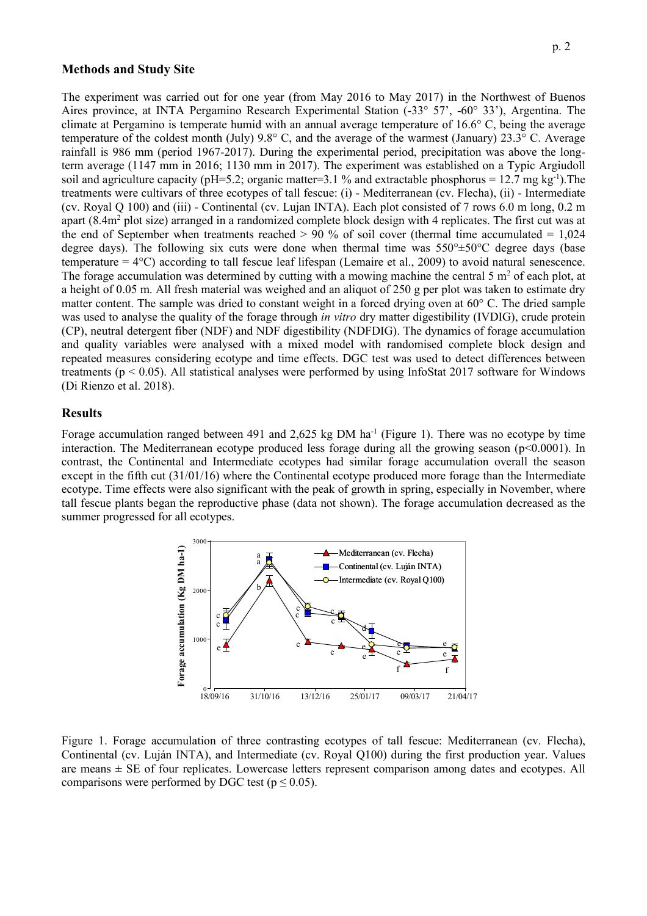#### **Methods and Study Site**

The experiment was carried out for one year (from May 2016 to May 2017) in the Northwest of Buenos Aires province, at INTA Pergamino Research Experimental Station (-33° 57', -60° 33'), Argentina. The climate at Pergamino is temperate humid with an annual average temperature of 16.6° C, being the average temperature of the coldest month (July) 9.8° C, and the average of the warmest (January) 23.3° C. Average rainfall is 986 mm (period 1967-2017). During the experimental period, precipitation was above the longterm average (1147 mm in 2016; 1130 mm in 2017). The experiment was established on a Typic Argiudoll soil and agriculture capacity (pH=5.2; organic matter=3.1 % and extractable phosphorus = 12.7 mg kg<sup>-1</sup>). The treatments were cultivars of three ecotypes of tall fescue: (i) - Mediterranean (cv. Flecha), (ii) - Intermediate (cv. Royal Q 100) and (iii) - Continental (cv. Lujan INTA). Each plot consisted of 7 rows 6.0 m long, 0.2 m apart (8.4m<sup>2</sup> plot size) arranged in a randomized complete block design with 4 replicates. The first cut was at the end of September when treatments reached  $> 90\%$  of soil cover (thermal time accumulated  $= 1.024$ degree days). The following six cuts were done when thermal time was  $550^{\circ} \pm 50^{\circ}$ C degree days (base temperature = 4°C) according to tall fescue leaf lifespan (Lemaire et al., 2009) to avoid natural senescence. The forage accumulation was determined by cutting with a mowing machine the central 5  $m<sup>2</sup>$  of each plot, at a height of 0.05 m. All fresh material was weighed and an aliquot of 250 g per plot was taken to estimate dry matter content. The sample was dried to constant weight in a forced drying oven at 60° C. The dried sample was used to analyse the quality of the forage through *in vitro* dry matter digestibility (IVDIG), crude protein (CP), neutral detergent fiber (NDF) and NDF digestibility (NDFDIG). The dynamics of forage accumulation and quality variables were analysed with a mixed model with randomised complete block design and repeated measures considering ecotype and time effects. DGC test was used to detect differences between treatments (p < 0.05). All statistical analyses were performed by using InfoStat 2017 software for Windows (Di Rienzo et al. 2018).

#### **Results**

Forage accumulation ranged between 491 and 2,625 kg DM ha<sup>-1</sup> (Figure 1). There was no ecotype by time interaction. The Mediterranean ecotype produced less forage during all the growing season ( $p<0.0001$ ). In contrast, the Continental and Intermediate ecotypes had similar forage accumulation overall the season except in the fifth cut (31/01/16) where the Continental ecotype produced more forage than the Intermediate ecotype. Time effects were also significant with the peak of growth in spring, especially in November, where tall fescue plants began the reproductive phase (data not shown). The forage accumulation decreased as the summer progressed for all ecotypes.



Figure 1. Forage accumulation of three contrasting ecotypes of tall fescue: Mediterranean (cv. Flecha), Continental (cv. Luján INTA), and Intermediate (cv. Royal Q100) during the first production year. Values are means  $\pm$  SE of four replicates. Lowercase letters represent comparison among dates and ecotypes. All comparisons were performed by DGC test ( $p \le 0.05$ ).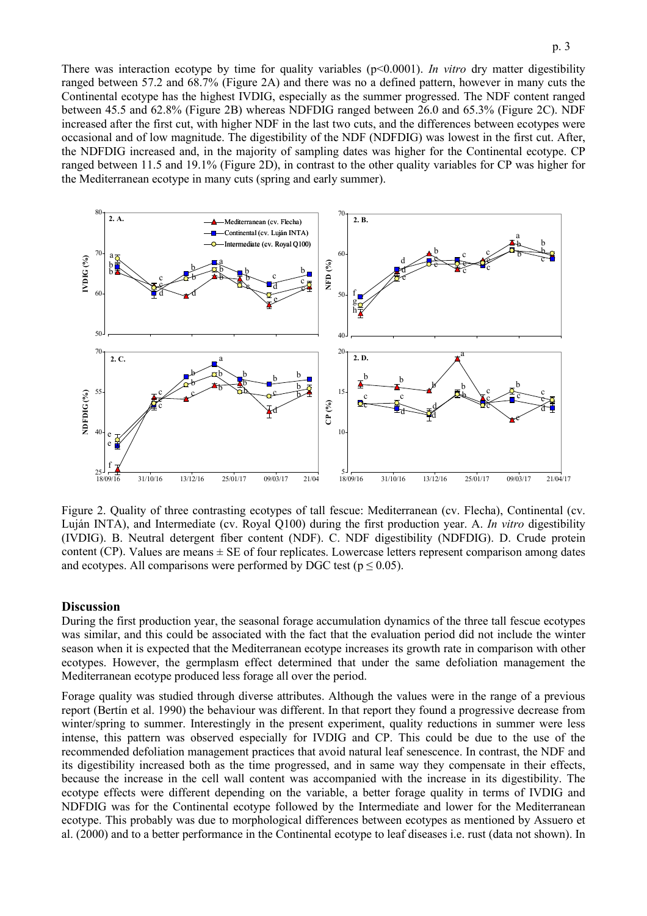There was interaction ecotype by time for quality variables (p<0.0001). *In vitro* dry matter digestibility ranged between 57.2 and 68.7% (Figure 2A) and there was no a defined pattern, however in many cuts the Continental ecotype has the highest IVDIG, especially as the summer progressed. The NDF content ranged between 45.5 and 62.8% (Figure 2B) whereas NDFDIG ranged between 26.0 and 65.3% (Figure 2C). NDF increased after the first cut, with higher NDF in the last two cuts, and the differences between ecotypes were occasional and of low magnitude. The digestibility of the NDF (NDFDIG) was lowest in the first cut. After, the NDFDIG increased and, in the majority of sampling dates was higher for the Continental ecotype. CP ranged between 11.5 and 19.1% (Figure 2D), in contrast to the other quality variables for CP was higher for the Mediterranean ecotype in many cuts (spring and early summer).



Figure 2. Quality of three contrasting ecotypes of tall fescue: Mediterranean (cv. Flecha), Continental (cv. Luján INTA), and Intermediate (cv. Royal Q100) during the first production year. A. *In vitro* digestibility (IVDIG). B. Neutral detergent fiber content (NDF). C. NDF digestibility (NDFDIG). D. Crude protein content (CP). Values are means  $\pm$  SE of four replicates. Lowercase letters represent comparison among dates and ecotypes. All comparisons were performed by DGC test ( $p \le 0.05$ ).

#### **Discussion**

During the first production year, the seasonal forage accumulation dynamics of the three tall fescue ecotypes was similar, and this could be associated with the fact that the evaluation period did not include the winter season when it is expected that the Mediterranean ecotype increases its growth rate in comparison with other ecotypes. However, the germplasm effect determined that under the same defoliation management the Mediterranean ecotype produced less forage all over the period.

Forage quality was studied through diverse attributes. Although the values were in the range of a previous report (Bertín et al. 1990) the behaviour was different. In that report they found a progressive decrease from winter/spring to summer. Interestingly in the present experiment, quality reductions in summer were less intense, this pattern was observed especially for IVDIG and CP. This could be due to the use of the recommended defoliation management practices that avoid natural leaf senescence. In contrast, the NDF and its digestibility increased both as the time progressed, and in same way they compensate in their effects, because the increase in the cell wall content was accompanied with the increase in its digestibility. The ecotype effects were different depending on the variable, a better forage quality in terms of IVDIG and NDFDIG was for the Continental ecotype followed by the Intermediate and lower for the Mediterranean ecotype. This probably was due to morphological differences between ecotypes as mentioned by Assuero et al. (2000) and to a better performance in the Continental ecotype to leaf diseases i.e. rust (data not shown). In